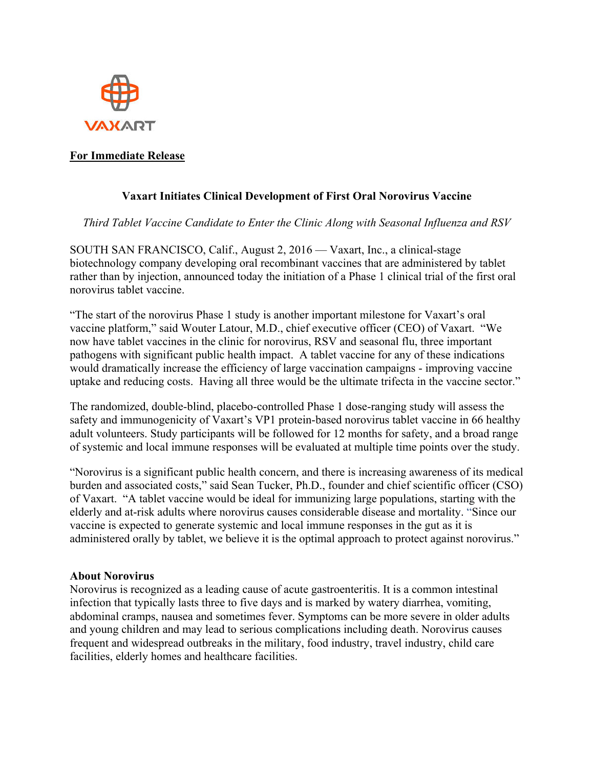

# **For Immediate Release**

# **Vaxart Initiates Clinical Development of First Oral Norovirus Vaccine**

*Third Tablet Vaccine Candidate to Enter the Clinic Along with Seasonal Influenza and RSV*

SOUTH SAN FRANCISCO, Calif., August 2, 2016 — Vaxart, Inc., a clinical-stage biotechnology company developing oral recombinant vaccines that are administered by tablet rather than by injection, announced today the initiation of a Phase 1 clinical trial of the first oral norovirus tablet vaccine.

"The start of the norovirus Phase 1 study is another important milestone for Vaxart's oral vaccine platform," said Wouter Latour, M.D., chief executive officer (CEO) of Vaxart. "We now have tablet vaccines in the clinic for norovirus, RSV and seasonal flu, three important pathogens with significant public health impact. A tablet vaccine for any of these indications would dramatically increase the efficiency of large vaccination campaigns - improving vaccine uptake and reducing costs. Having all three would be the ultimate trifecta in the vaccine sector."

The randomized, double-blind, placebo-controlled Phase 1 dose-ranging study will assess the safety and immunogenicity of Vaxart's VP1 protein-based norovirus tablet vaccine in 66 healthy adult volunteers. Study participants will be followed for 12 months for safety, and a broad range of systemic and local immune responses will be evaluated at multiple time points over the study.

"Norovirus is a significant public health concern, and there is increasing awareness of its medical burden and associated costs," said Sean Tucker, Ph.D., founder and chief scientific officer (CSO) of Vaxart. "A tablet vaccine would be ideal for immunizing large populations, starting with the elderly and at-risk adults where norovirus causes considerable disease and mortality. "Since our vaccine is expected to generate systemic and local immune responses in the gut as it is administered orally by tablet, we believe it is the optimal approach to protect against norovirus."

#### **About Norovirus**

Norovirus is recognized as a leading cause of acute gastroenteritis. It is a common intestinal infection that typically lasts three to five days and is marked by watery diarrhea, vomiting, abdominal cramps, nausea and sometimes fever. Symptoms can be more severe in older adults and young children and may lead to serious complications including death. Norovirus causes frequent and widespread outbreaks in the military, food industry, travel industry, child care facilities, elderly homes and healthcare facilities.